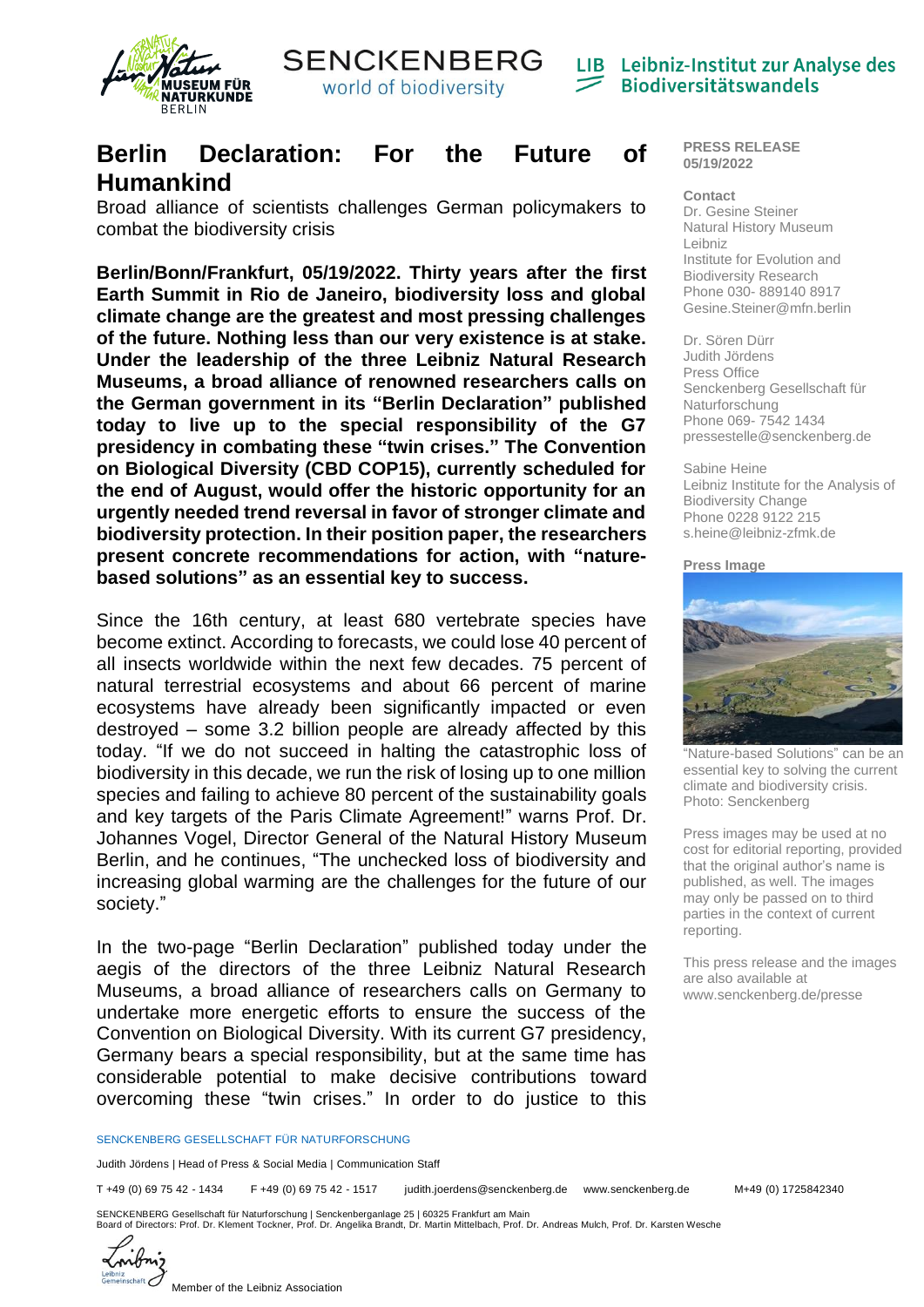



LIB Leibniz-Institut zur Analyse des **Biodiversitätswandels** 

## **Berlin Declaration: For the Future of Humankind**

Broad alliance of scientists challenges German policymakers to combat the biodiversity crisis

**Berlin/Bonn/Frankfurt, 05/19/2022. Thirty years after the first Earth Summit in Rio de Janeiro, biodiversity loss and global climate change are the greatest and most pressing challenges of the future. Nothing less than our very existence is at stake. Under the leadership of the three Leibniz Natural Research Museums, a broad alliance of renowned researchers calls on the German government in its "Berlin Declaration" published today to live up to the special responsibility of the G7 presidency in combating these "twin crises." The Convention on Biological Diversity (CBD COP15), currently scheduled for the end of August, would offer the historic opportunity for an urgently needed trend reversal in favor of stronger climate and biodiversity protection. In their position paper, the researchers present concrete recommendations for action, with "naturebased solutions" as an essential key to success.**

Since the 16th century, at least 680 vertebrate species have become extinct. According to forecasts, we could lose 40 percent of all insects worldwide within the next few decades. 75 percent of natural terrestrial ecosystems and about 66 percent of marine ecosystems have already been significantly impacted or even destroyed – some 3.2 billion people are already affected by this today. "If we do not succeed in halting the catastrophic loss of biodiversity in this decade, we run the risk of losing up to one million species and failing to achieve 80 percent of the sustainability goals and key targets of the Paris Climate Agreement!" warns Prof. Dr. Johannes Vogel, Director General of the Natural History Museum Berlin, and he continues, "The unchecked loss of biodiversity and increasing global warming are the challenges for the future of our society."

In the two-page "Berlin Declaration" published today under the aegis of the directors of the three Leibniz Natural Research Museums, a broad alliance of researchers calls on Germany to undertake more energetic efforts to ensure the success of the Convention on Biological Diversity. With its current G7 presidency, Germany bears a special responsibility, but at the same time has considerable potential to make decisive contributions toward overcoming these "twin crises." In order to do justice to this

## **PRESS RELEASE 05/19/2022**

**Contact** Dr. Gesine Steiner Natural History Museum Leibniz Institute for Evolution and Biodiversity Research Phone 030- 889140 8917 Gesine.Steiner@mfn.berlin

Dr. Sören Dürr Judith Jördens Press Office Senckenberg Gesellschaft für Naturforschung Phone 069- 7542 1434 [pressestelle@senckenberg.de](mailto:pressestelle@senckenberg.de)

## Sabine Heine Leibniz Institute for the Analysis of Biodiversity Change Phone 0228 9122 215 s.heine@leibniz-zfmk.de

**Press Image**



"Nature-based Solutions" can be an essential key to solving the current climate and biodiversity crisis. Photo: Senckenberg

Press images may be used at no cost for editorial reporting, provided that the original author's name is published, as well. The images may only be passed on to third parties in the context of current reporting.

This press release and the images are also available at [www.senckenberg.de/presse](http://www.senckenberg.de/presse)

SENCKENBERG GESELLSCHAFT FÜR NATURFORSCHUNG

Judith Jördens | Head of Press & Social Media | Communication Staff

T +49 (0) 69 75 42 - 1434 F +49 (0) 69 75 42 - 1517 judith.joerdens@senckenberg.de www.senckenberg.de M+49 (0) 1725842340

SENCKENBERG Gesellschaft für Naturforschung | Senckenberganlage 25 | 60325 Frankfurt am Main<br>Board of Directors: Prof. Dr. Klement Tockner, Prof. Dr. Angelika Brandt, Dr. Martin Mittelbach, Prof. Dr. Andreas Mulch, Prof. D



Member of the Leibniz Association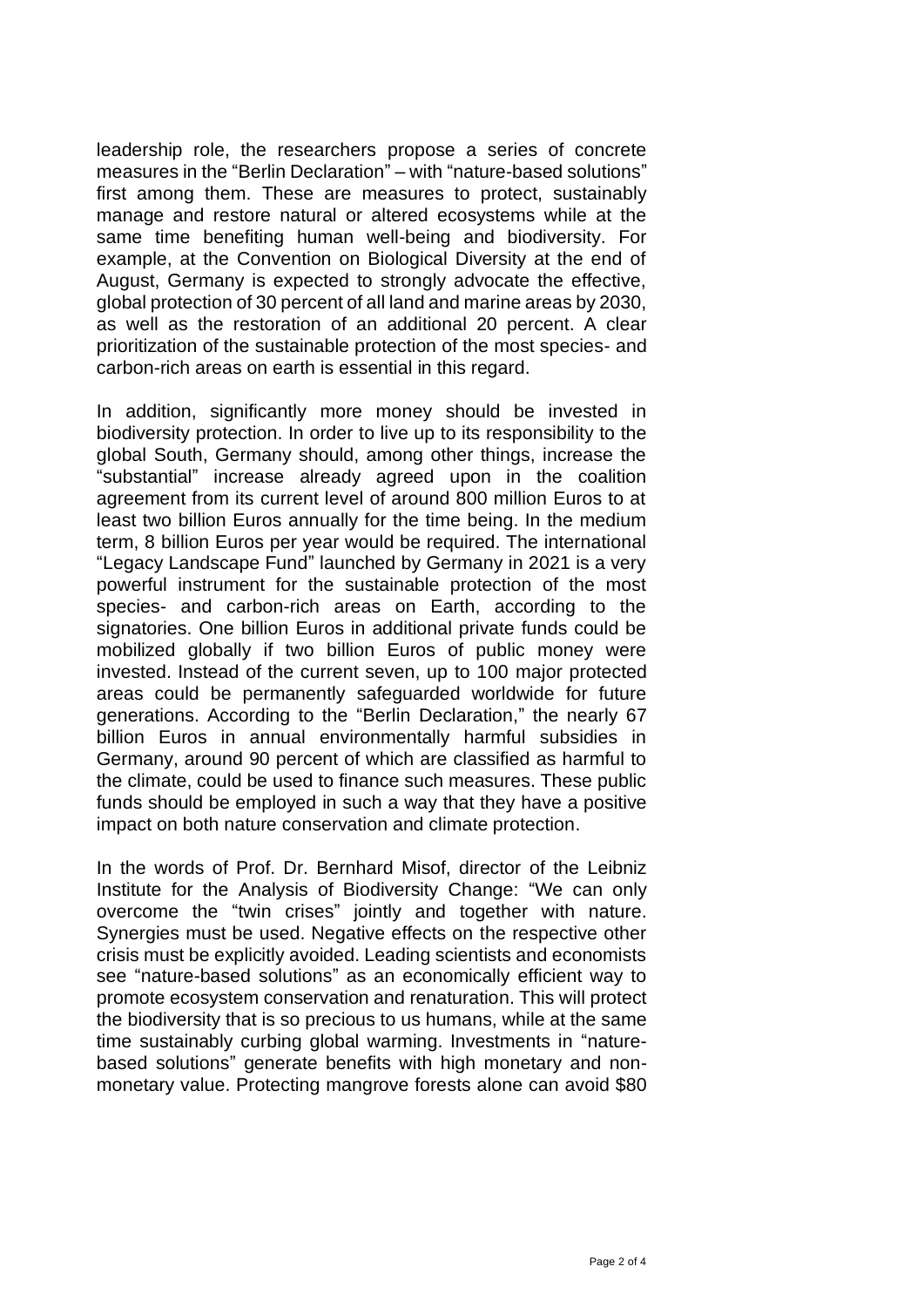leadership role, the researchers propose a series of concrete measures in the "Berlin Declaration" – with "nature-based solutions" first among them. These are measures to protect, sustainably manage and restore natural or altered ecosystems while at the same time benefiting human well-being and biodiversity. For example, at the Convention on Biological Diversity at the end of August, Germany is expected to strongly advocate the effective, global protection of 30 percent of all land and marine areas by 2030, as well as the restoration of an additional 20 percent. A clear prioritization of the sustainable protection of the most species- and carbon-rich areas on earth is essential in this regard.

In addition, significantly more money should be invested in biodiversity protection. In order to live up to its responsibility to the global South, Germany should, among other things, increase the "substantial" increase already agreed upon in the coalition agreement from its current level of around 800 million Euros to at least two billion Euros annually for the time being. In the medium term, 8 billion Euros per year would be required. The international "Legacy Landscape Fund" launched by Germany in 2021 is a very powerful instrument for the sustainable protection of the most species- and carbon-rich areas on Earth, according to the signatories. One billion Euros in additional private funds could be mobilized globally if two billion Euros of public money were invested. Instead of the current seven, up to 100 major protected areas could be permanently safeguarded worldwide for future generations. According to the "Berlin Declaration," the nearly 67 billion Euros in annual environmentally harmful subsidies in Germany, around 90 percent of which are classified as harmful to the climate, could be used to finance such measures. These public funds should be employed in such a way that they have a positive impact on both nature conservation and climate protection.

In the words of Prof. Dr. Bernhard Misof, director of the Leibniz Institute for the Analysis of Biodiversity Change: "We can only overcome the "twin crises" jointly and together with nature. Synergies must be used. Negative effects on the respective other crisis must be explicitly avoided. Leading scientists and economists see "nature-based solutions" as an economically efficient way to promote ecosystem conservation and renaturation. This will protect the biodiversity that is so precious to us humans, while at the same time sustainably curbing global warming. Investments in "naturebased solutions" generate benefits with high monetary and nonmonetary value. Protecting mangrove forests alone can avoid \$80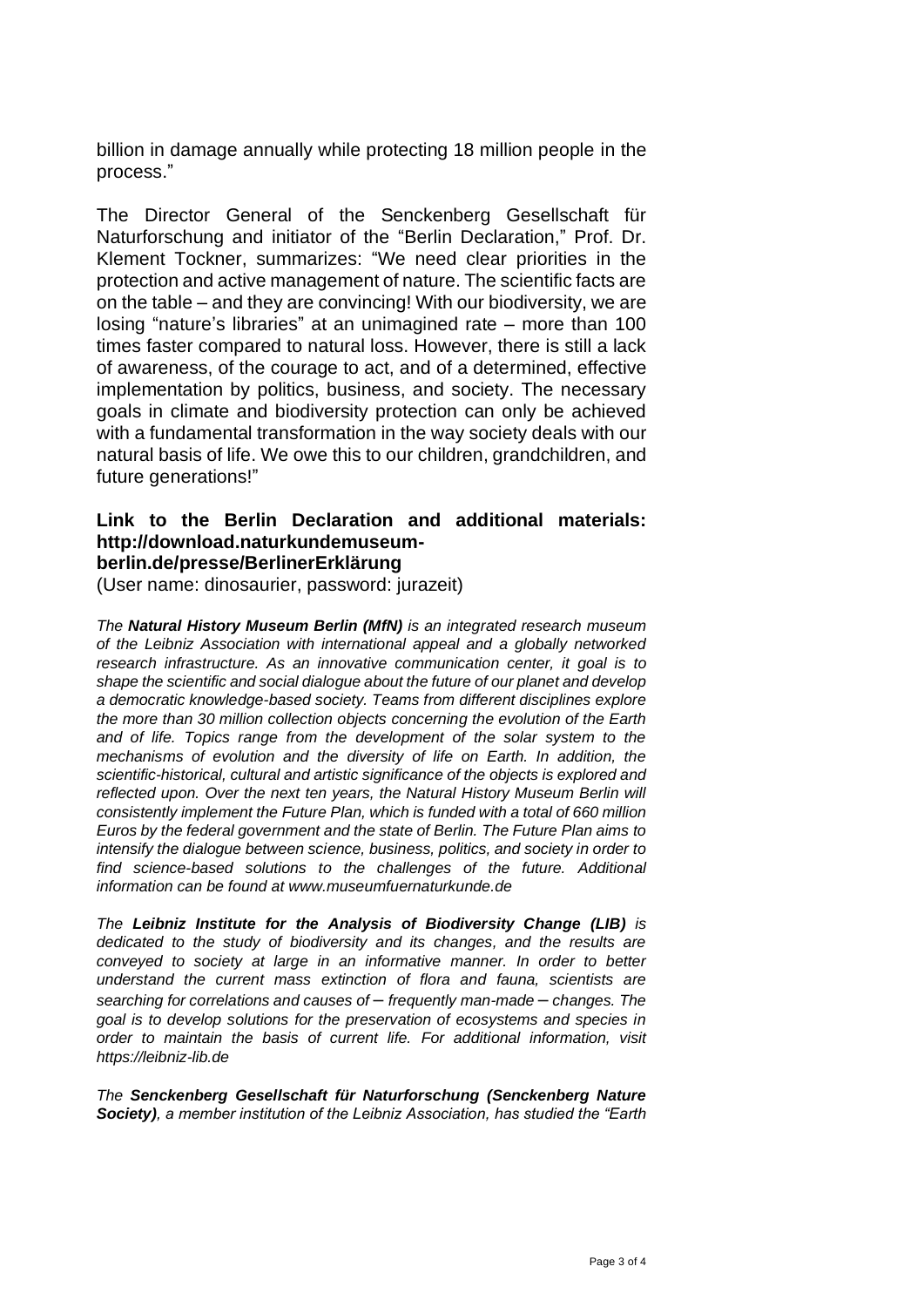billion in damage annually while protecting 18 million people in the process."

The Director General of the Senckenberg Gesellschaft für Naturforschung and initiator of the "Berlin Declaration," Prof. Dr. Klement Tockner, summarizes: "We need clear priorities in the protection and active management of nature. The scientific facts are on the table – and they are convincing! With our biodiversity, we are losing "nature's libraries" at an unimagined rate – more than 100 times faster compared to natural loss. However, there is still a lack of awareness, of the courage to act, and of a determined, effective implementation by politics, business, and society. The necessary goals in climate and biodiversity protection can only be achieved with a fundamental transformation in the way society deals with our natural basis of life. We owe this to our children, grandchildren, and future generations!"

## **Link to the Berlin Declaration and additional materials: http://download.naturkundemuseumberlin.de/presse/BerlinerErklärung**

(User name: dinosaurier, password: jurazeit)

*The Natural History Museum Berlin (MfN) is an integrated research museum of the Leibniz Association with international appeal and a globally networked research infrastructure. As an innovative communication center, it goal is to shape the scientific and social dialogue about the future of our planet and develop a democratic knowledge-based society. Teams from different disciplines explore the more than 30 million collection objects concerning the evolution of the Earth and of life. Topics range from the development of the solar system to the mechanisms of evolution and the diversity of life on Earth. In addition, the scientific-historical, cultural and artistic significance of the objects is explored and reflected upon. Over the next ten years, the Natural History Museum Berlin will consistently implement the Future Plan, which is funded with a total of 660 million Euros by the federal government and the state of Berlin. The Future Plan aims to intensify the dialogue between science, business, politics, and society in order to find science-based solutions to the challenges of the future. Additional information can be found at [www.museumfuernaturkunde.de](http://www.museumfuernaturkunde.de/)*

*The Leibniz Institute for the Analysis of Biodiversity Change (LIB) is dedicated to the study of biodiversity and its changes, and the results are conveyed to society at large in an informative manner. In order to better understand the current mass extinction of flora and fauna, scientists are searching for correlations and causes of* – *frequently man-made* – *changes. The goal is to develop solutions for the preservation of ecosystems and species in order to maintain the basis of current life. For additional information, visit https://leibniz-lib.de*

*The Senckenberg Gesellschaft für Naturforschung (Senckenberg Nature Society), a member institution of the Leibniz Association, has studied the "Earth*